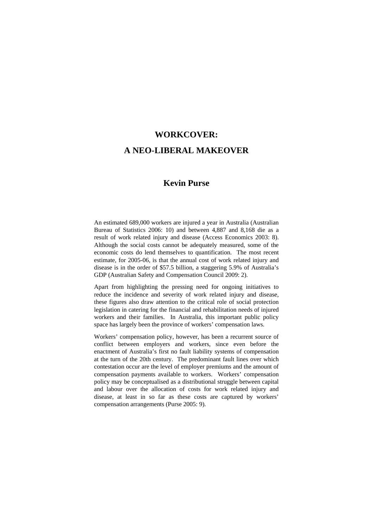# **WORKCOVER: A NEO-LIBERAL MAKEOVER**

# **Kevin Purse**

An estimated 689,000 workers are injured a year in Australia (Australian Bureau of Statistics 2006: 10) and between 4,887 and 8,168 die as a result of work related injury and disease (Access Economics 2003: 8). Although the social costs cannot be adequately measured, some of the economic costs do lend themselves to quantification. The most recent estimate, for 2005-06, is that the annual cost of work related injury and disease is in the order of \$57.5 billion, a staggering 5.9% of Australia's GDP (Australian Safety and Compensation Council 2009: 2).

Apart from highlighting the pressing need for ongoing initiatives to reduce the incidence and severity of work related injury and disease, these figures also draw attention to the critical role of social protection legislation in catering for the financial and rehabilitation needs of injured workers and their families. In Australia, this important public policy space has largely been the province of workers' compensation laws.

Workers' compensation policy, however, has been a recurrent source of conflict between employers and workers, since even before the enactment of Australia's first no fault liability systems of compensation at the turn of the 20th century. The predominant fault lines over which contestation occur are the level of employer premiums and the amount of compensation payments available to workers. Workers' compensation policy may be conceptualised as a distributional struggle between capital and labour over the allocation of costs for work related injury and disease, at least in so far as these costs are captured by workers' compensation arrangements (Purse 2005: 9).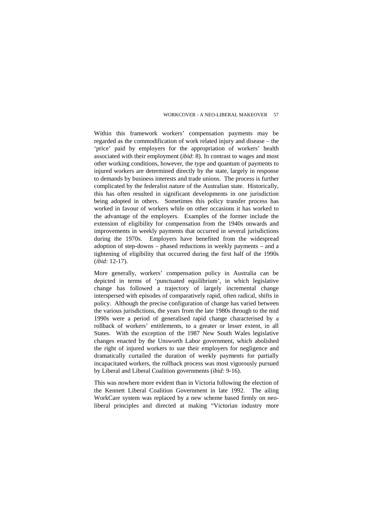Within this framework workers' compensation payments may be regarded as the commodification of work related injury and disease – the 'price' paid by employers for the appropriation of workers' health associated with their employment (*ibid*: 8). In contrast to wages and most other working conditions, however, the type and quantum of payments to injured workers are determined directly by the state, largely in response to demands by business interests and trade unions. The process is further complicated by the federalist nature of the Australian state. Historically, this has often resulted in significant developments in one jurisdiction being adopted in others. Sometimes this policy transfer process has worked in favour of workers while on other occasions it has worked to the advantage of the employers. Examples of the former include the extension of eligibility for compensation from the 1940s onwards and improvements in weekly payments that occurred in several jurisdictions during the 1970s. Employers have benefited from the widespread adoption of step-downs – phased reductions in weekly payments – and a tightening of eligibility that occurred during the first half of the 1990s (*ibid:* 12-17).

More generally, workers' compensation policy in Australia can be depicted in terms of 'punctuated equilibrium', in which legislative change has followed a trajectory of largely incremental change interspersed with episodes of comparatively rapid, often radical, shifts in policy. Although the precise configuration of change has varied between the various jurisdictions, the years from the late 1980s through to the mid 1990s were a period of generalised rapid change characterised by a rollback of workers' entitlements, to a greater or lesser extent, in all States. With the exception of the 1987 New South Wales legislative changes enacted by the Unsworth Labor government, which abolished the right of injured workers to sue their employers for negligence and dramatically curtailed the duration of weekly payments for partially incapacitated workers, the rollback process was most vigorously pursued by Liberal and Liberal Coalition governments (*ibid:* 9-16).

This was nowhere more evident than in Victoria following the election of the Kennett Liberal Coalition Government in late 1992. The ailing WorkCare system was replaced by a new scheme based firmly on neoliberal principles and directed at making "Victorian industry more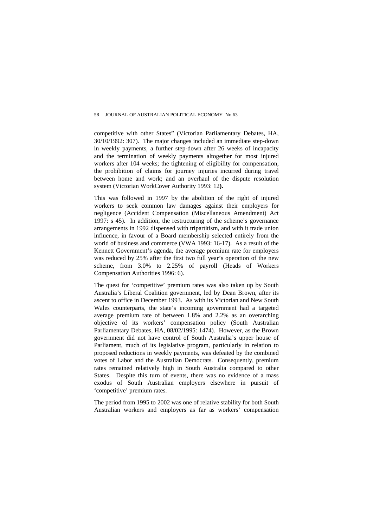competitive with other States" (Victorian Parliamentary Debates, HA, 30/10/1992: 307). The major changes included an immediate step-down in weekly payments, a further step-down after 26 weeks of incapacity and the termination of weekly payments altogether for most injured workers after 104 weeks; the tightening of eligibility for compensation, the prohibition of claims for journey injuries incurred during travel between home and work; and an overhaul of the dispute resolution system (Victorian WorkCover Authority 1993: 12**).** 

This was followed in 1997 by the abolition of the right of injured workers to seek common law damages against their employers for negligence (Accident Compensation (Miscellaneous Amendment) Act 1997: s 45). In addition, the restructuring of the scheme's governance arrangements in 1992 dispensed with tripartitism, and with it trade union influence, in favour of a Board membership selected entirely from the world of business and commerce (VWA 1993: 16-17). As a result of the Kennett Government's agenda, the average premium rate for employers was reduced by 25% after the first two full year's operation of the new scheme, from 3.0% to 2.25% of payroll (Heads of Workers Compensation Authorities 1996: 6).

The quest for 'competitive' premium rates was also taken up by South Australia's Liberal Coalition government, led by Dean Brown, after its ascent to office in December 1993. As with its Victorian and New South Wales counterparts, the state's incoming government had a targeted average premium rate of between 1.8% and 2.2% as an overarching objective of its workers' compensation policy (South Australian Parliamentary Debates, HA, 08/02/1995: 1474). However, as the Brown government did not have control of South Australia's upper house of Parliament, much of its legislative program, particularly in relation to proposed reductions in weekly payments, was defeated by the combined votes of Labor and the Australian Democrats. Consequently, premium rates remained relatively high in South Australia compared to other States. Despite this turn of events, there was no evidence of a mass exodus of South Australian employers elsewhere in pursuit of 'competitive' premium rates.

The period from 1995 to 2002 was one of relative stability for both South Australian workers and employers as far as workers' compensation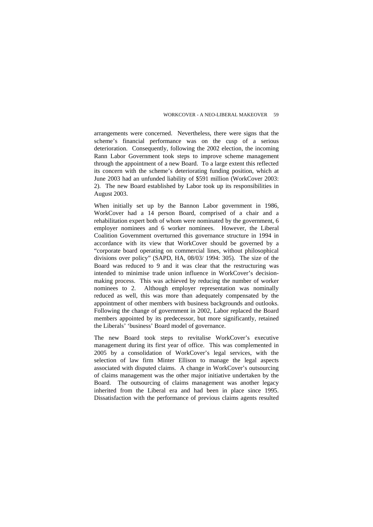arrangements were concerned. Nevertheless, there were signs that the scheme's financial performance was on the cusp of a serious deterioration. Consequently, following the 2002 election, the incoming Rann Labor Government took steps to improve scheme management through the appointment of a new Board. To a large extent this reflected its concern with the scheme's deteriorating funding position, which at June 2003 had an unfunded liability of \$591 million (WorkCover 2003: 2). The new Board established by Labor took up its responsibilities in August 2003.

When initially set up by the Bannon Labor government in 1986, WorkCover had a 14 person Board, comprised of a chair and a rehabilitation expert both of whom were nominated by the government, 6 employer nominees and 6 worker nominees. However, the Liberal Coalition Government overturned this governance structure in 1994 in accordance with its view that WorkCover should be governed by a "corporate board operating on commercial lines, without philosophical divisions over policy" (SAPD, HA, 08/03/ 1994: 305). The size of the Board was reduced to 9 and it was clear that the restructuring was intended to minimise trade union influence in WorkCover's decisionmaking process. This was achieved by reducing the number of worker nominees to 2. Although employer representation was nominally reduced as well, this was more than adequately compensated by the appointment of other members with business backgrounds and outlooks. Following the change of government in 2002, Labor replaced the Board members appointed by its predecessor, but more significantly, retained the Liberals' 'business' Board model of governance.

The new Board took steps to revitalise WorkCover's executive management during its first year of office. This was complemented in 2005 by a consolidation of WorkCover's legal services, with the selection of law firm Minter Ellison to manage the legal aspects associated with disputed claims. A change in WorkCover's outsourcing of claims management was the other major initiative undertaken by the Board. The outsourcing of claims management was another legacy inherited from the Liberal era and had been in place since 1995. Dissatisfaction with the performance of previous claims agents resulted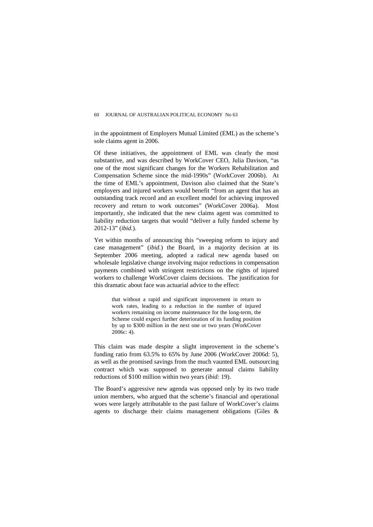in the appointment of Employers Mutual Limited (EML) as the scheme's sole claims agent in 2006.

Of these initiatives, the appointment of EML was clearly the most substantive, and was described by WorkCover CEO, Julia Davison, "as one of the most significant changes for the Workers Rehabilitation and Compensation Scheme since the mid-1990s" (WorkCover 2006b). At the time of EML's appointment, Davison also claimed that the State's employers and injured workers would benefit "from an agent that has an outstanding track record and an excellent model for achieving improved recovery and return to work outcomes" (WorkCover 2006a). Most importantly, she indicated that the new claims agent was committed to liability reduction targets that would "deliver a fully funded scheme by 2012-13" (*ibid.*).

Yet within months of announcing this "sweeping reform to injury and case management" (*ibid.*) the Board, in a majority decision at its September 2006 meeting, adopted a radical new agenda based on wholesale legislative change involving major reductions in compensation payments combined with stringent restrictions on the rights of injured workers to challenge WorkCover claims decisions. The justification for this dramatic about face was actuarial advice to the effect:

that without a rapid and significant improvement in return to work rates, leading to a reduction in the number of injured workers remaining on income maintenance for the long-term, the Scheme could expect further deterioration of its funding position by up to \$300 million in the next one or two years (WorkCover 2006c: 4).

This claim was made despite a slight improvement in the scheme's funding ratio from 63.5% to 65% by June 2006 (WorkCover 2006d: 5), as well as the promised savings from the much vaunted EML outsourcing contract which was supposed to generate annual claims liability reductions of \$100 million within two years (*ibid:* 19).

The Board's aggressive new agenda was opposed only by its two trade union members, who argued that the scheme's financial and operational woes were largely attributable to the past failure of WorkCover's claims agents to discharge their claims management obligations (Giles &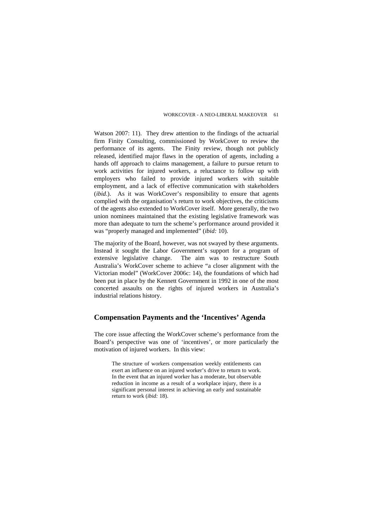Watson 2007: 11). They drew attention to the findings of the actuarial firm Finity Consulting, commissioned by WorkCover to review the performance of its agents. The Finity review, though not publicly released, identified major flaws in the operation of agents, including a hands off approach to claims management, a failure to pursue return to work activities for injured workers, a reluctance to follow up with employers who failed to provide injured workers with suitable employment, and a lack of effective communication with stakeholders (*ibid*.). As it was WorkCover's responsibility to ensure that agents complied with the organisation's return to work objectives, the criticisms of the agents also extended to WorkCover itself. More generally, the two union nominees maintained that the existing legislative framework was more than adequate to turn the scheme's performance around provided it was "properly managed and implemented" (*ibid:* 10).

The majority of the Board, however, was not swayed by these arguments. Instead it sought the Labor Government's support for a program of extensive legislative change. The aim was to restructure South Australia's WorkCover scheme to achieve "a closer alignment with the Victorian model" (WorkCover 2006c: 14), the foundations of which had been put in place by the Kennett Government in 1992 in one of the most concerted assaults on the rights of injured workers in Australia's industrial relations history.

## **Compensation Payments and the 'Incentives' Agenda**

The core issue affecting the WorkCover scheme's performance from the Board's perspective was one of 'incentives', or more particularly the motivation of injured workers. In this view:

The structure of workers compensation weekly entitlements can exert an influence on an injured worker's drive to return to work. In the event that an injured worker has a moderate, but observable reduction in income as a result of a workplace injury, there is a significant personal interest in achieving an early and sustainable return to work (*ibid:* 18).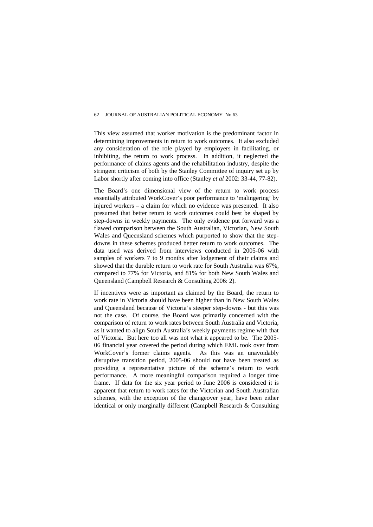This view assumed that worker motivation is the predominant factor in determining improvements in return to work outcomes. It also excluded any consideration of the role played by employers in facilitating, or inhibiting, the return to work process. In addition, it neglected the performance of claims agents and the rehabilitation industry, despite the stringent criticism of both by the Stanley Committee of inquiry set up by Labor shortly after coming into office (Stanley *et al* 2002: 33-44, 77-82).

The Board's one dimensional view of the return to work process essentially attributed WorkCover's poor performance to 'malingering' by injured workers – a claim for which no evidence was presented. It also presumed that better return to work outcomes could best be shaped by step-downs in weekly payments. The only evidence put forward was a flawed comparison between the South Australian, Victorian, New South Wales and Queensland schemes which purported to show that the stepdowns in these schemes produced better return to work outcomes. The data used was derived from interviews conducted in 2005-06 with samples of workers 7 to 9 months after lodgement of their claims and showed that the durable return to work rate for South Australia was 67%, compared to 77% for Victoria, and 81% for both New South Wales and Queensland (Campbell Research & Consulting 2006: 2).

If incentives were as important as claimed by the Board, the return to work rate in Victoria should have been higher than in New South Wales and Queensland because of Victoria's steeper step-downs - but this was not the case. Of course, the Board was primarily concerned with the comparison of return to work rates between South Australia and Victoria, as it wanted to align South Australia's weekly payments regime with that of Victoria. But here too all was not what it appeared to be. The 2005- 06 financial year covered the period during which EML took over from WorkCover's former claims agents. As this was an unavoidably disruptive transition period, 2005-06 should not have been treated as providing a representative picture of the scheme's return to work performance. A more meaningful comparison required a longer time frame. If data for the six year period to June 2006 is considered it is apparent that return to work rates for the Victorian and South Australian schemes, with the exception of the changeover year, have been either identical or only marginally different (Campbell Research & Consulting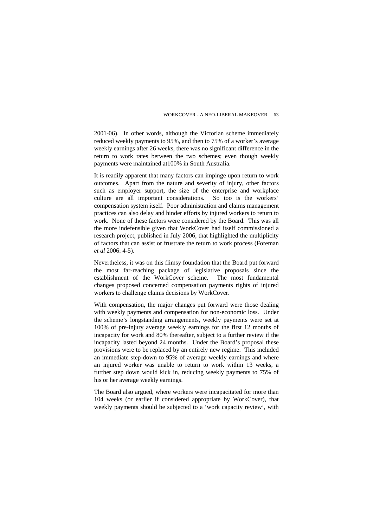2001-06). In other words, although the Victorian scheme immediately reduced weekly payments to 95%, and then to 75% of a worker's average weekly earnings after 26 weeks, there was no significant difference in the return to work rates between the two schemes; even though weekly payments were maintained at100% in South Australia.

It is readily apparent that many factors can impinge upon return to work outcomes. Apart from the nature and severity of injury, other factors such as employer support, the size of the enterprise and workplace culture are all important considerations. So too is the workers' compensation system itself. Poor administration and claims management practices can also delay and hinder efforts by injured workers to return to work. None of these factors were considered by the Board. This was all the more indefensible given that WorkCover had itself commissioned a research project, published in July 2006, that highlighted the multiplicity of factors that can assist or frustrate the return to work process (Foreman *et al* 2006: 4-5).

Nevertheless, it was on this flimsy foundation that the Board put forward the most far-reaching package of legislative proposals since the establishment of the WorkCover scheme. The most fundamental changes proposed concerned compensation payments rights of injured workers to challenge claims decisions by WorkCover.

With compensation, the major changes put forward were those dealing with weekly payments and compensation for non-economic loss. Under the scheme's longstanding arrangements, weekly payments were set at 100% of pre-injury average weekly earnings for the first 12 months of incapacity for work and 80% thereafter, subject to a further review if the incapacity lasted beyond 24 months. Under the Board's proposal these provisions were to be replaced by an entirely new regime. This included an immediate step-down to 95% of average weekly earnings and where an injured worker was unable to return to work within 13 weeks, a further step down would kick in, reducing weekly payments to 75% of his or her average weekly earnings.

The Board also argued, where workers were incapacitated for more than 104 weeks (or earlier if considered appropriate by WorkCover), that weekly payments should be subjected to a 'work capacity review', with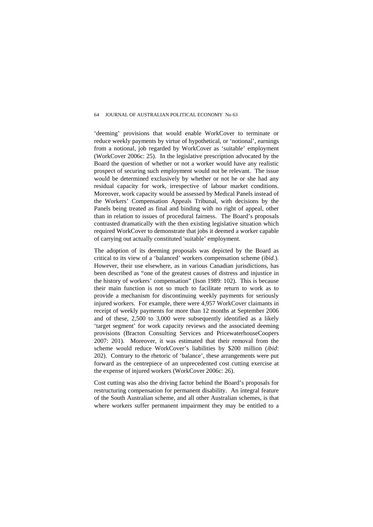'deeming' provisions that would enable WorkCover to terminate or reduce weekly payments by virtue of hypothetical, or 'notional', earnings from a notional, job regarded by WorkCover as 'suitable' employment (WorkCover 2006c: 25). In the legislative prescription advocated by the Board the question of whether or not a worker would have any realistic prospect of securing such employment would not be relevant. The issue would be determined exclusively by whether or not he or she had any residual capacity for work, irrespective of labour market conditions. Moreover, work capacity would be assessed by Medical Panels instead of the Workers' Compensation Appeals Tribunal, with decisions by the Panels being treated as final and binding with no right of appeal, other than in relation to issues of procedural fairness. The Board's proposals contrasted dramatically with the then existing legislative situation which required WorkCover to demonstrate that jobs it deemed a worker capable of carrying out actually constituted 'suitable' employment.

The adoption of its deeming proposals was depicted by the Board as critical to its view of a 'balanced' workers compensation scheme (*ibid.*). However, their use elsewhere, as in various Canadian jurisdictions, has been described as "one of the greatest causes of distress and injustice in the history of workers' compensation" (Ison 1989: 102). This is because their main function is not so much to facilitate return to work as to provide a mechanism for discontinuing weekly payments for seriously injured workers. For example, there were 4,957 WorkCover claimants in receipt of weekly payments for more than 12 months at September 2006 and of these, 2,500 to 3,000 were subsequently identified as a likely 'target segment' for work capacity reviews and the associated deeming provisions (Bracton Consulting Services and PricewaterhouseCoopers 2007: 201). Moreover, it was estimated that their removal from the scheme would reduce WorkCover's liabilities by \$200 million (*ibid*: 202). Contrary to the rhetoric of 'balance', these arrangements were put forward as the centrepiece of an unprecedented cost cutting exercise at the expense of injured workers (WorkCover 2006c: 26).

Cost cutting was also the driving factor behind the Board's proposals for restructuring compensation for permanent disability. An integral feature of the South Australian scheme, and all other Australian schemes, is that where workers suffer permanent impairment they may be entitled to a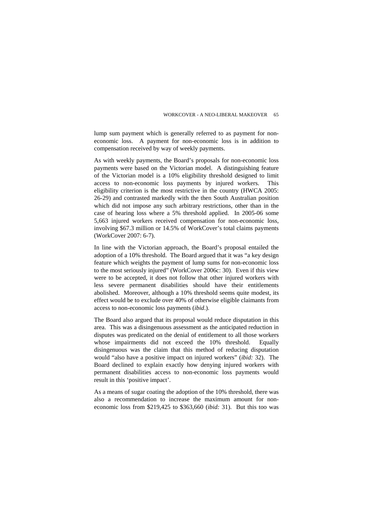lump sum payment which is generally referred to as payment for noneconomic loss. A payment for non-economic loss is in addition to compensation received by way of weekly payments.

As with weekly payments, the Board's proposals for non-economic loss payments were based on the Victorian model. A distinguishing feature of the Victorian model is a 10% eligibility threshold designed to limit access to non-economic loss payments by injured workers. This eligibility criterion is the most restrictive in the country (HWCA 2005: 26-29) and contrasted markedly with the then South Australian position which did not impose any such arbitrary restrictions, other than in the case of hearing loss where a 5% threshold applied. In 2005-06 some 5,663 injured workers received compensation for non-economic loss, involving \$67.3 million or 14.5% of WorkCover's total claims payments (WorkCover 2007: 6-7).

In line with the Victorian approach, the Board's proposal entailed the adoption of a 10% threshold. The Board argued that it was "a key design feature which weights the payment of lump sums for non-economic loss to the most seriously injured" (WorkCover 2006c: 30). Even if this view were to be accepted, it does not follow that other injured workers with less severe permanent disabilities should have their entitlements abolished. Moreover, although a 10% threshold seems quite modest, its effect would be to exclude over 40% of otherwise eligible claimants from access to non-economic loss payments (*ibid*.).

The Board also argued that its proposal would reduce disputation in this area. This was a disingenuous assessment as the anticipated reduction in disputes was predicated on the denial of entitlement to all those workers whose impairments did not exceed the 10% threshold. Equally disingenuous was the claim that this method of reducing disputation would "also have a positive impact on injured workers" (*ibid:* 32). The Board declined to explain exactly how denying injured workers with permanent disabilities access to non-economic loss payments would result in this 'positive impact'.

As a means of sugar coating the adoption of the 10% threshold, there was also a recommendation to increase the maximum amount for noneconomic loss from \$219,425 to \$363,660 (*ibid:* 31). But this too was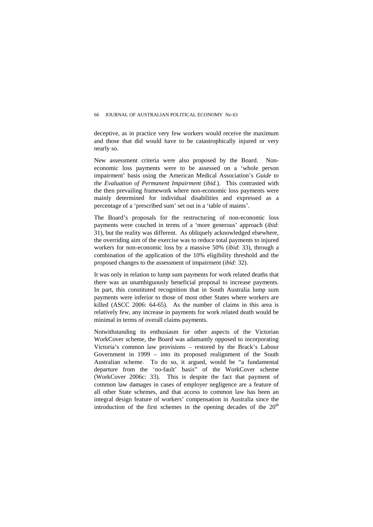deceptive, as in practice very few workers would receive the maximum and those that did would have to be catastrophically injured or very nearly so.

New assessment criteria were also proposed by the Board. Noneconomic loss payments were to be assessed on a 'whole person impairment' basis using the American Medical Association's *Guide to the Evaluation of Permanent Impairment* (*ibid.*). This contrasted with the then prevailing framework where non-economic loss payments were mainly determined for individual disabilities and expressed as a percentage of a 'prescribed sum' set out in a 'table of maims'.

The Board's proposals for the restructuring of non-economic loss payments were couched in terms of a 'more generous' approach (*ibid*: 31), but the reality was different. As obliquely acknowledged elsewhere, the overriding aim of the exercise was to reduce total payments to injured workers for non-economic loss by a massive 50% (*ibid*: 33), through a combination of the application of the 10% eligibility threshold and the proposed changes to the assessment of impairment (*ibid:* 32).

It was only in relation to lump sum payments for work related deaths that there was an unambiguously beneficial proposal to increase payments. In part, this constituted recognition that in South Australia lump sum payments were inferior to those of most other States where workers are killed (ASCC 2006: 64-65). As the number of claims in this area is relatively few, any increase in payments for work related death would be minimal in terms of overall claims payments.

Notwithstanding its enthusiasm for other aspects of the Victorian WorkCover scheme, the Board was adamantly opposed to incorporating Victoria's common law provisions – restored by the Brack's Labour Government in 1999 – into its proposed realignment of the South Australian scheme. To do so, it argued, would be "a fundamental departure from the 'no-fault' basis" of the WorkCover scheme (WorkCover 2006c: 33). This is despite the fact that payment of common law damages in cases of employer negligence are a feature of all other State schemes, and that access to common law has been an integral design feature of workers' compensation in Australia since the introduction of the first schemes in the opening decades of the  $20<sup>th</sup>$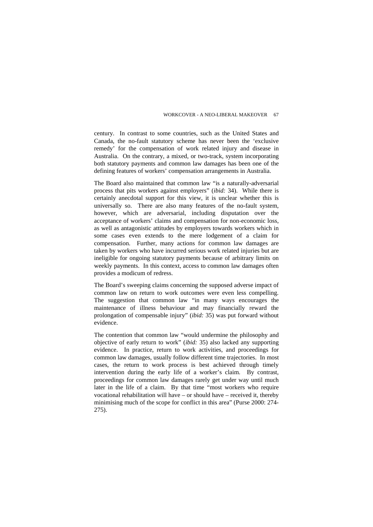century. In contrast to some countries, such as the United States and Canada, the no-fault statutory scheme has never been the 'exclusive remedy' for the compensation of work related injury and disease in Australia. On the contrary, a mixed, or two-track, system incorporating both statutory payments and common law damages has been one of the defining features of workers' compensation arrangements in Australia.

The Board also maintained that common law "is a naturally-adversarial process that pits workers against employers" (*ibid:* 34). While there is certainly anecdotal support for this view, it is unclear whether this is universally so. There are also many features of the no-fault system, however, which are adversarial, including disputation over the acceptance of workers' claims and compensation for non-economic loss, as well as antagonistic attitudes by employers towards workers which in some cases even extends to the mere lodgement of a claim for compensation. Further, many actions for common law damages are taken by workers who have incurred serious work related injuries but are ineligible for ongoing statutory payments because of arbitrary limits on weekly payments. In this context, access to common law damages often provides a modicum of redress.

The Board's sweeping claims concerning the supposed adverse impact of common law on return to work outcomes were even less compelling. The suggestion that common law "in many ways encourages the maintenance of illness behaviour and may financially reward the prolongation of compensable injury" (*ibid:* 35) was put forward without evidence.

The contention that common law "would undermine the philosophy and objective of early return to work" (*ibid:* 35) also lacked any supporting evidence. In practice, return to work activities, and proceedings for common law damages, usually follow different time trajectories. In most cases, the return to work process is best achieved through timely intervention during the early life of a worker's claim. By contrast, proceedings for common law damages rarely get under way until much later in the life of a claim. By that time "most workers who require vocational rehabilitation will have – or should have – received it, thereby minimising much of the scope for conflict in this area" (Purse 2000: 274- 275).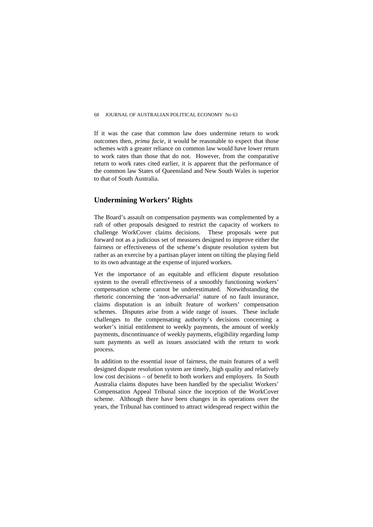If it was the case that common law does undermine return to work outcomes then, *prima facie*, it would be reasonable to expect that those schemes with a greater reliance on common law would have lower return to work rates than those that do not. However, from the comparative return to work rates cited earlier, it is apparent that the performance of the common law States of Queensland and New South Wales is superior to that of South Australia.

# **Undermining Workers' Rights**

The Board's assault on compensation payments was complemented by a raft of other proposals designed to restrict the capacity of workers to challenge WorkCover claims decisions. These proposals were put forward not as a judicious set of measures designed to improve either the fairness or effectiveness of the scheme's dispute resolution system but rather as an exercise by a partisan player intent on tilting the playing field to its own advantage at the expense of injured workers.

Yet the importance of an equitable and efficient dispute resolution system to the overall effectiveness of a smoothly functioning workers' compensation scheme cannot be underestimated. Notwithstanding the rhetoric concerning the 'non-adversarial' nature of no fault insurance, claims disputation is an inbuilt feature of workers' compensation schemes. Disputes arise from a wide range of issues. These include challenges to the compensating authority's decisions concerning a worker's initial entitlement to weekly payments, the amount of weekly payments, discontinuance of weekly payments, eligibility regarding lump sum payments as well as issues associated with the return to work process.

In addition to the essential issue of fairness, the main features of a well designed dispute resolution system are timely, high quality and relatively low cost decisions – of benefit to both workers and employers. In South Australia claims disputes have been handled by the specialist Workers' Compensation Appeal Tribunal since the inception of the WorkCover scheme. Although there have been changes in its operations over the years, the Tribunal has continued to attract widespread respect within the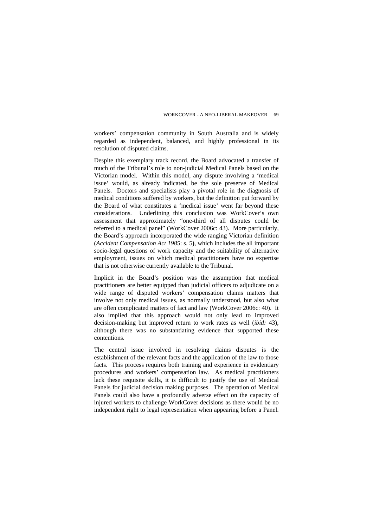workers' compensation community in South Australia and is widely regarded as independent, balanced, and highly professional in its resolution of disputed claims.

Despite this exemplary track record, the Board advocated a transfer of much of the Tribunal's role to non-judicial Medical Panels based on the Victorian model. Within this model, any dispute involving a 'medical issue' would, as already indicated, be the sole preserve of Medical Panels. Doctors and specialists play a pivotal role in the diagnosis of medical conditions suffered by workers, but the definition put forward by the Board of what constitutes a 'medical issue' went far beyond these considerations. Underlining this conclusion was WorkCover's own assessment that approximately "one-third of all disputes could be referred to a medical panel" (WorkCover 2006c: 43). More particularly, the Board's approach incorporated the wide ranging Victorian definition (*Accident Compensation Act 1985*: s. 5**)**, which includes the all important socio-legal questions of work capacity and the suitability of alternative employment, issues on which medical practitioners have no expertise that is not otherwise currently available to the Tribunal.

Implicit in the Board's position was the assumption that medical practitioners are better equipped than judicial officers to adjudicate on a wide range of disputed workers' compensation claims matters that involve not only medical issues, as normally understood, but also what are often complicated matters of fact and law (WorkCover 2006c: 40). It also implied that this approach would not only lead to improved decision-making but improved return to work rates as well (*ibid:* 43), although there was no substantiating evidence that supported these contentions.

The central issue involved in resolving claims disputes is the establishment of the relevant facts and the application of the law to those facts. This process requires both training and experience in evidentiary procedures and workers' compensation law. As medical practitioners lack these requisite skills, it is difficult to justify the use of Medical Panels for judicial decision making purposes. The operation of Medical Panels could also have a profoundly adverse effect on the capacity of injured workers to challenge WorkCover decisions as there would be no independent right to legal representation when appearing before a Panel.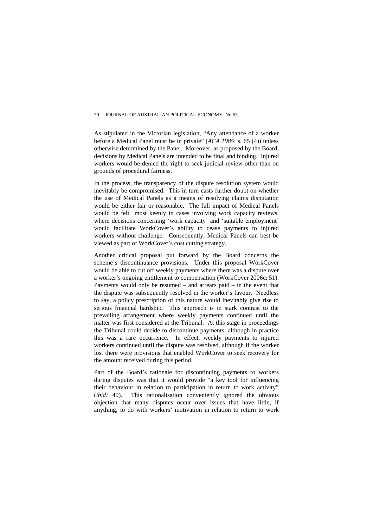As stipulated in the Victorian legislation, "Any attendance of a worker before a Medical Panel must be in private" (*ACA 1985*: s. 65 (4)) unless otherwise determined by the Panel. Moreover, as proposed by the Board, decisions by Medical Panels are intended to be final and binding. Injured workers would be denied the right to seek judicial review other than on grounds of procedural fairness.

In the process, the transparency of the dispute resolution system would inevitably be compromised. This in turn casts further doubt on whether the use of Medical Panels as a means of resolving claims disputation would be either fair or reasonable. The full impact of Medical Panels would be felt most keenly in cases involving work capacity reviews, where decisions concerning 'work capacity' and 'suitable employment' would facilitate WorkCover's ability to cease payments to injured workers without challenge. Consequently, Medical Panels can best be viewed as part of WorkCover's cost cutting strategy.

Another critical proposal put forward by the Board concerns the scheme's discontinuance provisions. Under this proposal WorkCover would be able to cut off weekly payments where there was a dispute over a worker's ongoing entitlement to compensation (WorkCover 2006c: 51). Payments would only be resumed – and arrears paid – in the event that the dispute was subsequently resolved in the worker's favour. Needless to say, a policy prescription of this nature would inevitably give rise to serious financial hardship. This approach is in stark contrast to the prevailing arrangement where weekly payments continued until the matter was first considered at the Tribunal. At this stage in proceedings the Tribunal could decide to discontinue payments, although in practice this was a rare occurrence. In effect, weekly payments to injured workers continued until the dispute was resolved, although if the worker lost there were provisions that enabled WorkCover to seek recovery for the amount received during this period.

Part of the Board's rationale for discontinuing payments to workers during disputes was that it would provide "a key tool for influencing their behaviour in relation to participation in return to work activity" (*ibid:* 49). This rationalisation conveniently ignored the obvious objection that many disputes occur over issues that have little, if anything, to do with workers' motivation in relation to return to work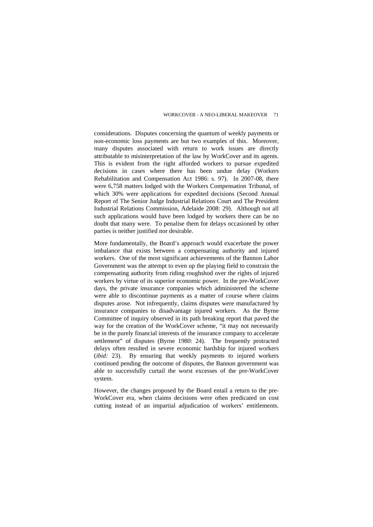considerations. Disputes concerning the quantum of weekly payments or non-economic loss payments are but two examples of this. Moreover, many disputes associated with return to work issues are directly attributable to misinterpretation of the law by WorkCover and its agents. This is evident from the right afforded workers to pursue expedited decisions in cases where there has been undue delay (Workers Rehabilitation and Compensation Act 1986: s. 97). In 2007-08, there were 6,758 matters lodged with the Workers Compensation Tribunal, of which 30% were applications for expedited decisions (Second Annual Report of The Senior Judge Industrial Relations Court and The President Industrial Relations Commission, Adelaide 2008: 29). Although not all such applications would have been lodged by workers there can be no doubt that many were. To penalise them for delays occasioned by other parties is neither justified nor desirable.

More fundamentally, the Board's approach would exacerbate the power imbalance that exists between a compensating authority and injured workers. One of the most significant achievements of the Bannon Labor Government was the attempt to even up the playing field to constrain the compensating authority from riding roughshod over the rights of injured workers by virtue of its superior economic power. In the pre-WorkCover days, the private insurance companies which administered the scheme were able to discontinue payments as a matter of course where claims disputes arose. Not infrequently, claims disputes were manufactured by insurance companies to disadvantage injured workers. As the Byrne Committee of inquiry observed in its path breaking report that paved the way for the creation of the WorkCover scheme, "it may not necessarily be in the purely financial interests of the insurance company to accelerate settlement" of disputes (Byrne 1980: 24). The frequently protracted delays often resulted in severe economic hardship for injured workers (*ibid:* 23). By ensuring that weekly payments to injured workers continued pending the outcome of disputes, the Bannon government was able to successfully curtail the worst excesses of the pre-WorkCover system.

However, the changes proposed by the Board entail a return to the pre-WorkCover era, when claims decisions were often predicated on cost cutting instead of an impartial adjudication of workers' entitlements.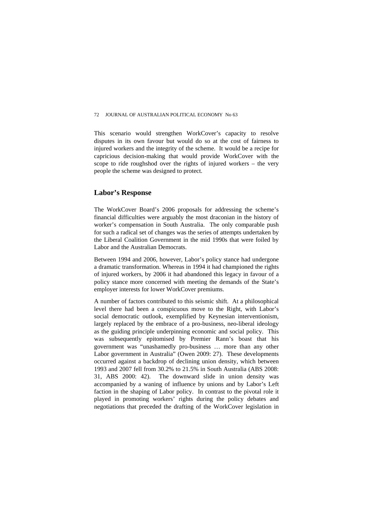This scenario would strengthen WorkCover's capacity to resolve disputes in its own favour but would do so at the cost of fairness to injured workers and the integrity of the scheme. It would be a recipe for capricious decision-making that would provide WorkCover with the scope to ride roughshod over the rights of injured workers – the very people the scheme was designed to protect.

# **Labor's Response**

The WorkCover Board's 2006 proposals for addressing the scheme's financial difficulties were arguably the most draconian in the history of worker's compensation in South Australia. The only comparable push for such a radical set of changes was the series of attempts undertaken by the Liberal Coalition Government in the mid 1990s that were foiled by Labor and the Australian Democrats.

Between 1994 and 2006, however, Labor's policy stance had undergone a dramatic transformation. Whereas in 1994 it had championed the rights of injured workers, by 2006 it had abandoned this legacy in favour of a policy stance more concerned with meeting the demands of the State's employer interests for lower WorkCover premiums.

A number of factors contributed to this seismic shift. At a philosophical level there had been a conspicuous move to the Right, with Labor's social democratic outlook, exemplified by Keynesian interventionism, largely replaced by the embrace of a pro-business, neo-liberal ideology as the guiding principle underpinning economic and social policy. This was subsequently epitomised by Premier Rann's boast that his government was "unashamedly pro-business … more than any other Labor government in Australia" (Owen 2009: 27). These developments occurred against a backdrop of declining union density, which between 1993 and 2007 fell from 30.2% to 21.5% in South Australia (ABS 2008: 31, ABS 2000: 42). The downward slide in union density was accompanied by a waning of influence by unions and by Labor's Left faction in the shaping of Labor policy. In contrast to the pivotal role it played in promoting workers' rights during the policy debates and negotiations that preceded the drafting of the WorkCover legislation in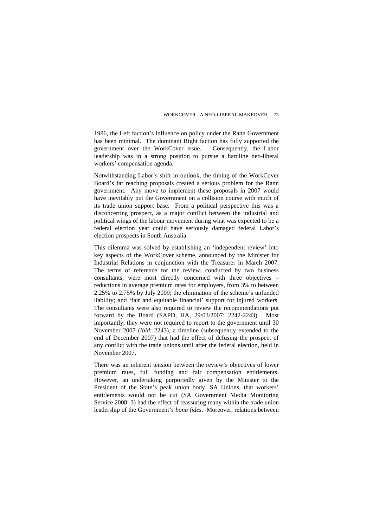1986, the Left faction's influence on policy under the Rann Government has been minimal. The dominant Right faction has fully supported the government over the WorkCover issue. Consequently, the Labor leadership was in a strong position to pursue a hardline neo-liberal workers' compensation agenda.

Notwithstanding Labor's shift in outlook, the timing of the WorkCover Board's far reaching proposals created a serious problem for the Rann government. Any move to implement these proposals in 2007 would have inevitably put the Government on a collision course with much of its trade union support base. From a political perspective this was a disconcerting prospect, as a major conflict between the industrial and political wings of the labour movement during what was expected to be a federal election year could have seriously damaged federal Labor's election prospects in South Australia.

This dilemma was solved by establishing an 'independent review' into key aspects of the WorkCover scheme, announced by the Minister for Industrial Relations in conjunction with the Treasurer in March 2007. The terms of reference for the review, conducted by two business consultants, were most directly concerned with three objectives – reductions in average premium rates for employers, from 3% to between 2.25% to 2.75% by July 2009; the elimination of the scheme's unfunded liability; and 'fair and equitable financial' support for injured workers. The consultants were also required to review the recommendations put forward by the Board (SAPD, HA, 29/03/2007: 2242-2243). Most importantly, they were not required to report to the government until 30 November 2007 (*ibid*: 2243), a timeline (subsequently extended to the end of December 2007) that had the effect of defusing the prospect of any conflict with the trade unions until after the federal election, held in November 2007.

There was an inherent tension between the review's objectives of lower premium rates, full funding and fair compensation entitlements. However, an undertaking purportedly given by the Minister to the President of the State's peak union body, SA Unions, that workers' entitlements would not be cut (SA Government Media Monitoring Service 2008: 3) had the effect of reassuring many within the trade union leadership of the Government's *bona fides*. Moreover, relations between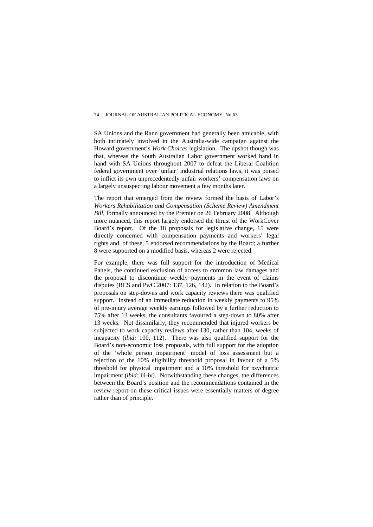SA Unions and the Rann government had generally been amicable, with both intimately involved in the Australia-wide campaign against the Howard government's *Work Choices* legislation. The upshot though was that, whereas the South Australian Labor government worked hand in hand with SA Unions throughout 2007 to defeat the Liberal Coalition federal government over 'unfair' industrial relations laws, it was poised to inflict its own unprecedentedly unfair workers' compensation laws on a largely unsuspecting labour movement a few months later.

The report that emerged from the review formed the basis of Labor's *Workers Rehabilitation and Compensation (Scheme Review) Amendment Bill*, formally announced by the Premier on 26 February 2008. Although more nuanced, this report largely endorsed the thrust of the WorkCover Board's report. Of the 18 proposals for legislative change, 15 were directly concerned with compensation payments and workers' legal rights and, of these, 5 endorsed recommendations by the Board; a further 8 were supported on a modified basis, whereas 2 were rejected.

For example, there was full support for the introduction of Medical Panels, the continued exclusion of access to common law damages and the proposal to discontinue weekly payments in the event of claims disputes (BCS and PwC 2007: 137, 126, 142). In relation to the Board's proposals on step-downs and work capacity reviews there was qualified support. Instead of an immediate reduction in weekly payments to 95% of pre-injury average weekly earnings followed by a further reduction to 75% after 13 weeks, the consultants favoured a step-down to 80% after 13 weeks. Not dissimilarly, they recommended that injured workers be subjected to work capacity reviews after 130, rather than 104, weeks of incapacity (*ibid:* 100, 112). There was also qualified support for the Board's non-economic loss proposals, with full support for the adoption of the 'whole person impairment' model of loss assessment but a rejection of the 10% eligibility threshold proposal in favour of a 5% threshold for physical impairment and a 10% threshold for psychiatric impairment (*ibid:* iii-iv). Notwithstanding these changes, the differences between the Board's position and the recommendations contained in the review report on these critical issues were essentially matters of degree rather than of principle.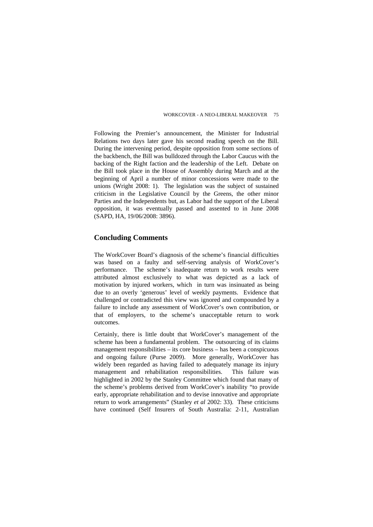Following the Premier's announcement, the Minister for Industrial Relations two days later gave his second reading speech on the Bill. During the intervening period, despite opposition from some sections of the backbench, the Bill was bulldozed through the Labor Caucus with the backing of the Right faction and the leadership of the Left. Debate on the Bill took place in the House of Assembly during March and at the beginning of April a number of minor concessions were made to the unions (Wright 2008: 1). The legislation was the subject of sustained criticism in the Legislative Council by the Greens, the other minor Parties and the Independents but, as Labor had the support of the Liberal opposition, it was eventually passed and assented to in June 2008 (SAPD, HA, 19/06/2008: 3896).

# **Concluding Comments**

The WorkCover Board's diagnosis of the scheme's financial difficulties was based on a faulty and self-serving analysis of WorkCover's performance. The scheme's inadequate return to work results were attributed almost exclusively to what was depicted as a lack of motivation by injured workers, which in turn was insinuated as being due to an overly 'generous' level of weekly payments. Evidence that challenged or contradicted this view was ignored and compounded by a failure to include any assessment of WorkCover's own contribution, or that of employers, to the scheme's unacceptable return to work outcomes.

Certainly, there is little doubt that WorkCover's management of the scheme has been a fundamental problem. The outsourcing of its claims management responsibilities – its core business – has been a conspicuous and ongoing failure (Purse 2009). More generally, WorkCover has widely been regarded as having failed to adequately manage its injury management and rehabilitation responsibilities. This failure was highlighted in 2002 by the Stanley Committee which found that many of the scheme's problems derived from WorkCover's inability "to provide early, appropriate rehabilitation and to devise innovative and appropriate return to work arrangements" (Stanley *et al* 2002: 33). These criticisms have continued (Self Insurers of South Australia: 2-11, Australian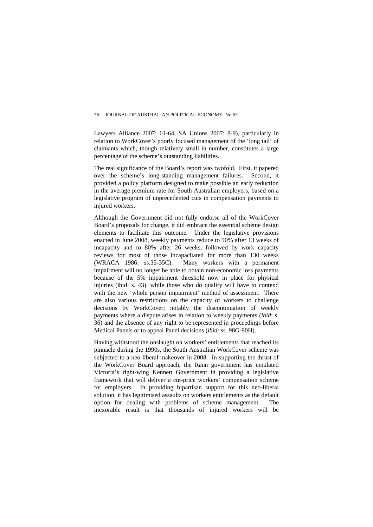Lawyers Alliance 2007: 61-64, SA Unions 2007: 8-9), particularly in relation to WorkCover's poorly focused management of the 'long tail' of claimants which, though relatively small in number, constitutes a large percentage of the scheme's outstanding liabilities.

The real significance of the Board's report was twofold. First, it papered over the scheme's long-standing management failures. Second, it provided a policy platform designed to make possible an early reduction in the average premium rate for South Australian employers, based on a legislative program of unprecedented cuts in compensation payments to injured workers.

Although the Government did not fully endorse all of the WorkCover Board's proposals for change, it did embrace the essential scheme design elements to facilitate this outcome*.* Under the legislative provisions enacted in June 2008, weekly payments reduce to 90% after 13 weeks of incapacity and to 80% after 26 weeks, followed by work capacity reviews for most of those incapacitated for more than 130 weeks (WRACA 1986: ss.35-35C). Many workers with a permanent impairment will no longer be able to obtain non-economic loss payments because of the 5% impairment threshold now in place for physical injuries (ibid: s. 43), while those who do qualify will have to contend with the new 'whole person impairment' method of assessment. There are also various restrictions on the capacity of workers to challenge decisions by WorkCover; notably the discontinuation of weekly payments where a dispute arises in relation to weekly payments (*ibid*: s. 36) and the absence of any right to be represented in proceedings before Medical Panels or to appeal Panel decisions (*ibid*: ss. 98G-90H).

Having withstood the onslaught on workers' entitlements that reached its pinnacle during the 1990s, the South Australian WorkCover scheme was subjected to a neo-liberal makeover in 2008. In supporting the thrust of the WorkCover Board approach, the Rann government has emulated Victoria's right-wing Kennett Government in providing a legislative framework that will deliver a cut-price workers' compensation scheme for employers. In providing bipartisan support for this neo-liberal solution, it has legitimised assaults on workers entitlements as the default option for dealing with problems of scheme management. The inexorable result is that thousands of injured workers will be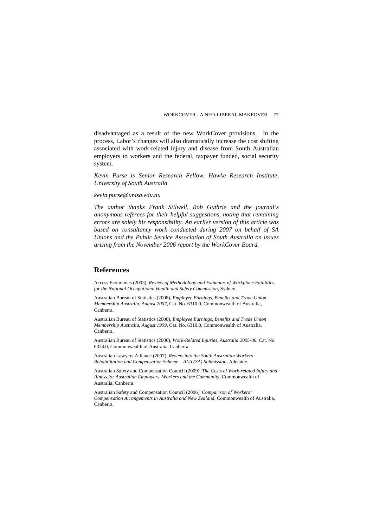disadvantaged as a result of the new WorkCover provisions. In the process, Labor's changes will also dramatically increase the cost shifting associated with work-related injury and disease from South Australian employers to workers and the federal, taxpayer funded, social security system.

*Kevin Purse is Senior Research Fellow, Hawke Research Institute, University of South Australia.* 

#### *kevin.purse@unisa.edu.au*

*The author thanks Frank Stilwell, Rob Guthrie and the journal's anonymous referees for their helpful suggestions, noting that remaining errors are solely his responsibility. An earlier version of this article was based on consultancy work conducted during 2007 on behalf of SA Unions and the Public Service Association of South Australia on issues arising from the November 2006 report by the WorkCover Board.* 

## **References**

Access Economics (2003), *Review of Methodology and Estimates of Workplace Fatalities for the National Occupational Health and Safety Commission*, Sydney.

Australian Bureau of Statistics (2008), *Employee Earnings, Benefits and Trade Union Membership Australia, August 2007*, Cat. No. 6310.0, Commonwealth of Australia, Canberra.

Australian Bureau of Statistics (2000), *Employee Earnings, Benefits and Trade Union Membership Australia, August 1999*, Cat. No. 6310.0, Commonwealth of Australia, Canberra.

Australian Bureau of Statistics (2006), *Work-Related Injuries, Australia 2005-06*, Cat. No. 6324.0, Commonwealth of Australia, Canberra.

Australian Lawyers Alliance (2007), *Review into the South Australian Workers Rehabilitation and Compensation Scheme – ALA (SA) Submission*, Adelaide.

Australian Safety and Compensation Council (2009), *The Costs of Work-related Injury and Illness for Australian Employers, Workers and the Community*, Commonwealth of Australia, Canberra.

Australian Safety and Compensation Council (2006), *Comparison of Workers' Compensation Arrangements in Australia and New Zealand*, Commonwealth of Australia, Canberra.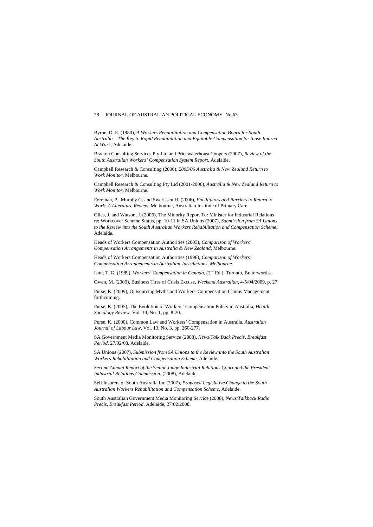Byrne, D. E. (1980), *A Workers Rehabilitation and Compensation Board for South Australia – The Key to Rapid Rehabilitation and Equitable Compensation for those Injured At Work*, Adelaide.

Bracton Consulting Services Pty Ltd and PricewaterhouseCoopers (2007), *Review of the South Australian Workers' Compensation System Report*, Adelaide.

Campbell Research & Consulting (2006), *2005/06 Australia & New Zealand Return to Work Monitor*, Melbourne.

Campbell Research & Consulting Pty Ltd (2001-2006), *Australia & New Zealand Return to Work Monitor*, Melbourne.

Foreman, P., Murphy G. and Swerissen H. (2006), *Facilitators and Barriers to Return to Work: A Literature Review*, Melbourne, Australian Institute of Primary Care.

Giles, J. and Watson, J. (2006), The Minority Report To: Minister for Industrial Relations re: Workcover Scheme Status, pp. 10-11 in SA Unions (2007), *Submission from SA Unions to the Review into the South Australian Workers Rehabilitation and Compensation Scheme*, Adelaide.

Heads of Workers Compensation Authorities (2005), *Comparison of Workers' Compensation Arrangements in Australia & New Zealand*, Melbourne.

Heads of Workers Compensation Authorities (1996), *Comparison of Workers' Compensation Arrangements in Australian Jurisdictions, Melbourne.* 

Ison, T. G. (1989), *Workers' Compensation in Canada*, (2nd Ed.), Toronto, Butterworths.

Owen, M. (2009), Business Tires of Crisis Excuse, *Weekend Australian*, 4-5/04/2009, p. 27.

Purse, K. (2009), Outsourcing Myths and Workers' Compensation Claims Management, forthcoming.

Purse, K. (2005), The Evolution of Workers' Compensation Policy in Australia, *Health Sociology Review*, Vol. 14, No. 1, pp. 8-20.

Purse, K. (2000), Common Law and Workers' Compensation in Australia, *Australian Journal of Labour Law*, Vol. 13, No. 3, pp. 260-277.

SA Government Media Monitoring Service (2008), *News/Talk Back Precis, Breakfast Period*, 27/02/08, Adelaide.

SA Unions (2007), *Submission from SA Unions to the Review into the South Australian Workers Rehabilitation and Compensation Scheme*, Adelaide.

*Second Annual Report of the Senior Judge Industrial Relations Court and the President Industrial Relations Commission*, (2008), Adelaide.

Self Insurers of South Australia Inc (2007), *Proposed Legislative Change to the South Australian Workers Rehabilitation and Compensation Scheme*, Adelaide.

South Australian Government Media Monitoring Service (2008), *News/Talkback Radio Précis, Breakfast Period*, Adelaide, 27/02/2008.